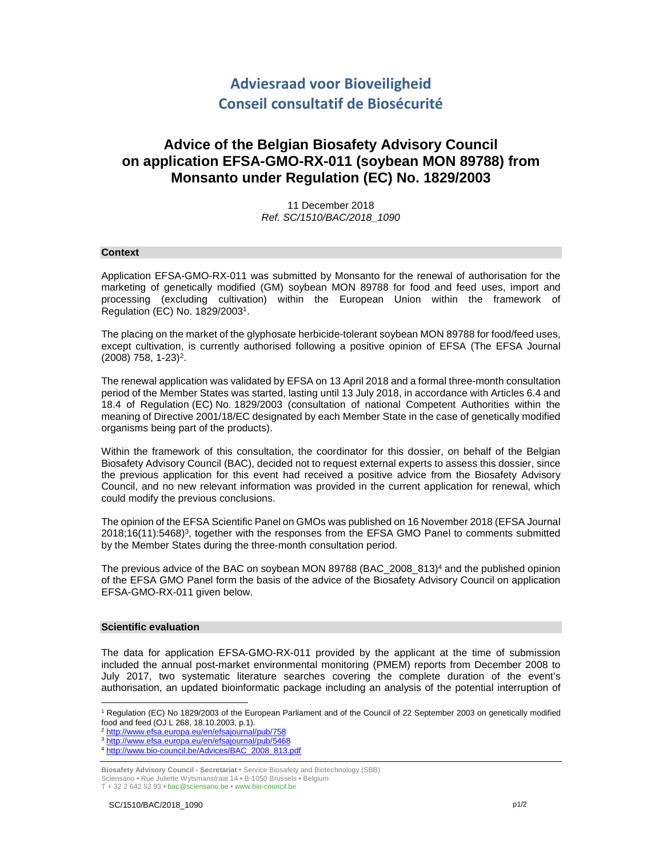# **Adviesraad voor Bioveiligheid Conseil consultatif de Biosécurité**

## **Advice of the Belgian Biosafety Advisory Council on application EFSA-GMO-RX-011 (soybean MON 89788) from Monsanto under Regulation (EC) No. 1829/2003**

11 December 2018 Ref. SC/1510/BAC/2018\_1090

#### **Context**

Application EFSA-GMO-RX-011 was submitted by Monsanto for the renewal of authorisation for the marketing of genetically modified (GM) soybean MON 89788 for food and feed uses, import and processing (excluding cultivation) within the European Union within the framework of Regulation (EC) No. 1829/2003<sup>1</sup> .

The placing on the market of the glyphosate herbicide-tolerant soybean MON 89788 for food/feed uses, except cultivation, is currently authorised following a positive opinion of EFSA (The EFSA Journal  $(2008)$  758, 1-23)<sup>2</sup>.

The renewal application was validated by EFSA on 13 April 2018 and a formal three-month consultation period of the Member States was started, lasting until 13 July 2018, in accordance with Articles 6.4 and 18.4 of Regulation (EC) No. 1829/2003 (consultation of national Competent Authorities within the meaning of Directive 2001/18/EC designated by each Member State in the case of genetically modified organisms being part of the products).

Within the framework of this consultation, the coordinator for this dossier, on behalf of the Belgian Biosafety Advisory Council (BAC), decided not to request external experts to assess this dossier, since the previous application for this event had received a positive advice from the Biosafety Advisory Council, and no new relevant information was provided in the current application for renewal, which could modify the previous conclusions.

The opinion of the EFSA Scientific Panel on GMOs was published on 16 November 2018 (EFSA Journal 2018;16(11):5468)<sup>3</sup> , together with the responses from the EFSA GMO Panel to comments submitted by the Member States during the three-month consultation period.

The previous advice of the BAC on soybean MON 89788 (BAC\_2008\_813)<sup>4</sup> and the published opinion of the EFSA GMO Panel form the basis of the advice of the Biosafety Advisory Council on application EFSA-GMO-RX-011 given below.

### **Scientific evaluation**

-

The data for application EFSA-GMO-RX-011 provided by the applicant at the time of submission included the annual post-market environmental monitoring (PMEM) reports from December 2008 to July 2017, two systematic literature searches covering the complete duration of the event's authorisation, an updated bioinformatic package including an analysis of the potential interruption of

- <sup>2</sup> http://www.efsa.europa.eu/en/efsajournal/pub/758
- <sup>3</sup> http://www.efsa.europa.eu/en/efsajournal/pub/5468
- <sup>4</sup> http://www.bio-council.be/Advices/BAC\_2008\_813.pdf

**Biosafety Advisory Council - Secretariat •** Service Biosafety and Biotechnology (SBB) Sciensano **•** Rue Juliette Wytsmanstraat 14 **•** B-1050 Brussels **•** Belgium

T + 32 2 642 52 93 **•** bac@sciensano.be **•** www.bio-council.be

<sup>1</sup> Regulation (EC) No 1829/2003 of the European Parliament and of the Council of 22 September 2003 on genetically modified food and feed (OJ L 268, 18.10.2003, p.1).